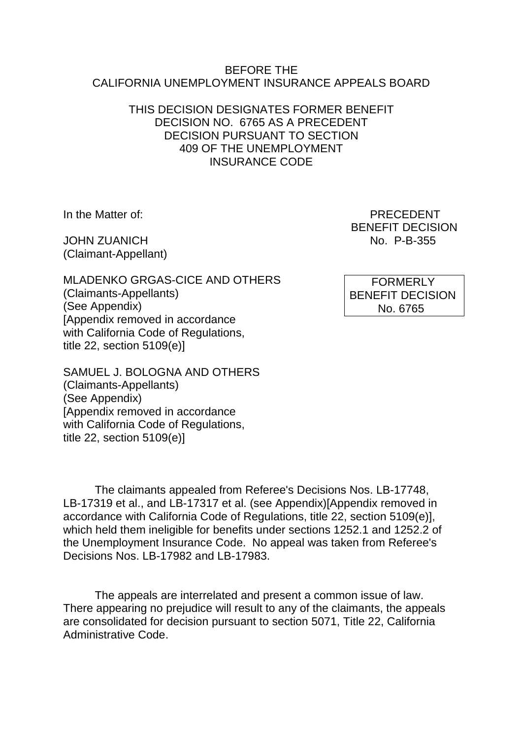#### BEFORE THE CALIFORNIA UNEMPLOYMENT INSURANCE APPEALS BOARD

#### THIS DECISION DESIGNATES FORMER BENEFIT DECISION NO. 6765 AS A PRECEDENT DECISION PURSUANT TO SECTION 409 OF THE UNEMPLOYMENT INSURANCE CODE

JOHN ZUANICH NO. P-B-355 (Claimant-Appellant)

In the Matter of: PRECEDENT BENEFIT DECISION

MLADENKO GRGAS-CICE AND OTHERS (Claimants-Appellants) (See Appendix) [Appendix removed in accordance with California Code of Regulations, title 22, section 5109(e)]

SAMUEL J. BOLOGNA AND OTHERS (Claimants-Appellants) (See Appendix) [Appendix removed in accordance with California Code of Regulations, title 22, section 5109(e)]

The claimants appealed from Referee's Decisions Nos. LB-17748, LB-17319 et al., and LB-17317 et al. (see Appendix)[Appendix removed in accordance with California Code of Regulations, title 22, section 5109(e)], which held them ineligible for benefits under sections 1252.1 and 1252.2 of the Unemployment Insurance Code. No appeal was taken from Referee's Decisions Nos. LB-17982 and LB-17983.

The appeals are interrelated and present a common issue of law. There appearing no prejudice will result to any of the claimants, the appeals are consolidated for decision pursuant to section 5071, Title 22, California Administrative Code.

 FORMERLY BENEFIT DECISION No. 6765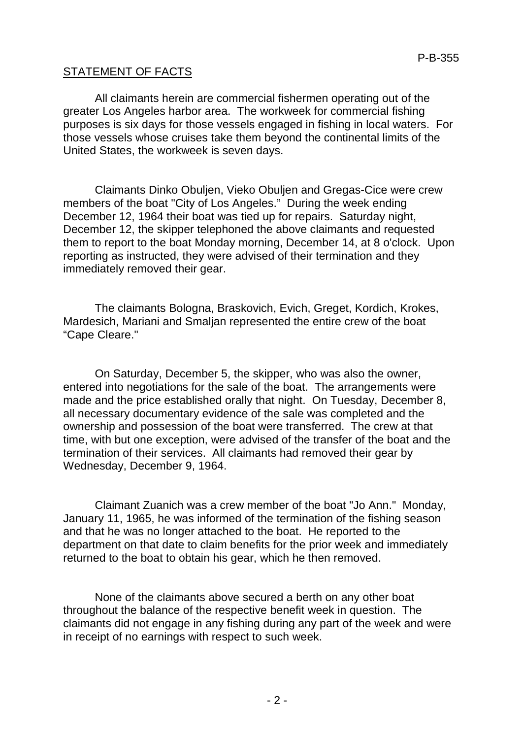# STATEMENT OF FACTS

All claimants herein are commercial fishermen operating out of the greater Los Angeles harbor area. The workweek for commercial fishing purposes is six days for those vessels engaged in fishing in local waters. For those vessels whose cruises take them beyond the continental limits of the United States, the workweek is seven days.

Claimants Dinko Obuljen, Vieko Obuljen and Gregas-Cice were crew members of the boat "City of Los Angeles." During the week ending December 12, 1964 their boat was tied up for repairs. Saturday night, December 12, the skipper telephoned the above claimants and requested them to report to the boat Monday morning, December 14, at 8 o'clock. Upon reporting as instructed, they were advised of their termination and they immediately removed their gear.

The claimants Bologna, Braskovich, Evich, Greget, Kordich, Krokes, Mardesich, Mariani and Smaljan represented the entire crew of the boat "Cape Cleare."

On Saturday, December 5, the skipper, who was also the owner, entered into negotiations for the sale of the boat. The arrangements were made and the price established orally that night. On Tuesday, December 8, all necessary documentary evidence of the sale was completed and the ownership and possession of the boat were transferred. The crew at that time, with but one exception, were advised of the transfer of the boat and the termination of their services. All claimants had removed their gear by Wednesday, December 9, 1964.

Claimant Zuanich was a crew member of the boat "Jo Ann." Monday, January 11, 1965, he was informed of the termination of the fishing season and that he was no longer attached to the boat. He reported to the department on that date to claim benefits for the prior week and immediately returned to the boat to obtain his gear, which he then removed.

None of the claimants above secured a berth on any other boat throughout the balance of the respective benefit week in question. The claimants did not engage in any fishing during any part of the week and were in receipt of no earnings with respect to such week.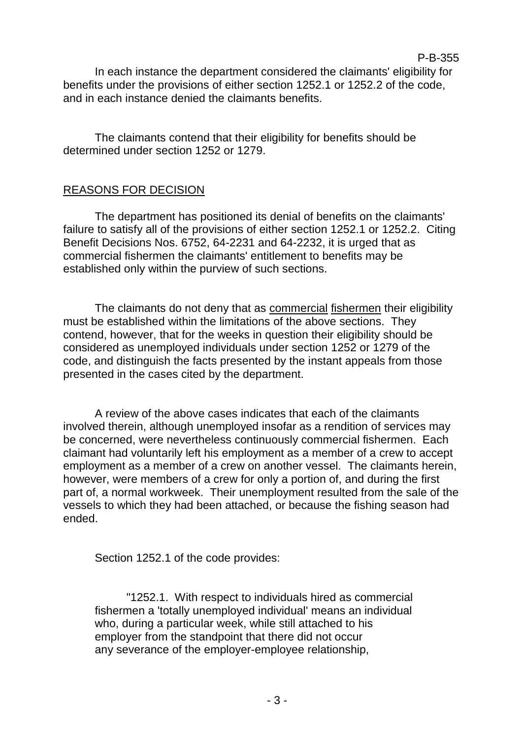P-B-355 In each instance the department considered the claimants' eligibility for benefits under the provisions of either section 1252.1 or 1252.2 of the code, and in each instance denied the claimants benefits.

The claimants contend that their eligibility for benefits should be determined under section 1252 or 1279.

### REASONS FOR DECISION

The department has positioned its denial of benefits on the claimants' failure to satisfy all of the provisions of either section 1252.1 or 1252.2. Citing Benefit Decisions Nos. 6752, 64-2231 and 64-2232, it is urged that as commercial fishermen the claimants' entitlement to benefits may be established only within the purview of such sections.

The claimants do not deny that as commercial fishermen their eligibility must be established within the limitations of the above sections. They contend, however, that for the weeks in question their eligibility should be considered as unemployed individuals under section 1252 or 1279 of the code, and distinguish the facts presented by the instant appeals from those presented in the cases cited by the department.

A review of the above cases indicates that each of the claimants involved therein, although unemployed insofar as a rendition of services may be concerned, were nevertheless continuously commercial fishermen. Each claimant had voluntarily left his employment as a member of a crew to accept employment as a member of a crew on another vessel. The claimants herein, however, were members of a crew for only a portion of, and during the first part of, a normal workweek. Their unemployment resulted from the sale of the vessels to which they had been attached, or because the fishing season had ended.

Section 1252.1 of the code provides:

"1252.1. With respect to individuals hired as commercial fishermen a 'totally unemployed individual' means an individual who, during a particular week, while still attached to his employer from the standpoint that there did not occur any severance of the employer-employee relationship,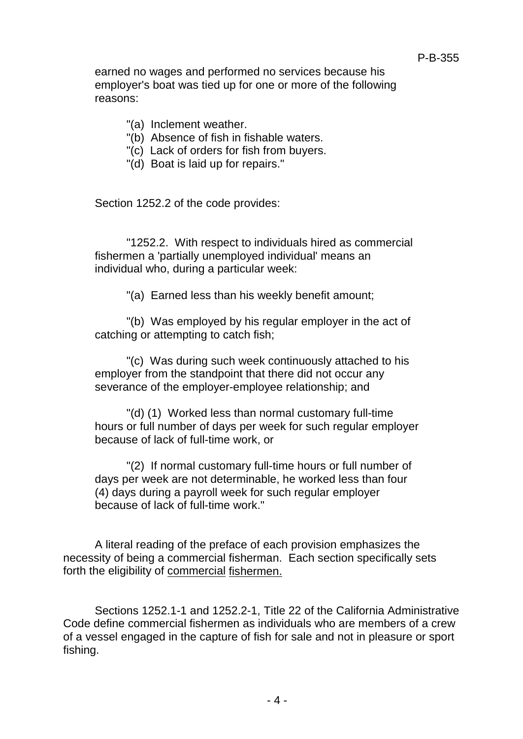earned no wages and performed no services because his employer's boat was tied up for one or more of the following reasons:

- "(a) Inclement weather.
- "(b) Absence of fish in fishable waters.
- "(c) Lack of orders for fish from buyers.
- "(d) Boat is laid up for repairs."

Section 1252.2 of the code provides:

"1252.2. With respect to individuals hired as commercial fishermen a 'partially unemployed individual' means an individual who, during a particular week:

"(a) Earned less than his weekly benefit amount;

"(b) Was employed by his regular employer in the act of catching or attempting to catch fish;

"(c) Was during such week continuously attached to his employer from the standpoint that there did not occur any severance of the employer-employee relationship; and

"(d) (1) Worked less than normal customary full-time hours or full number of days per week for such regular employer because of lack of full-time work, or

"(2) If normal customary full-time hours or full number of days per week are not determinable, he worked less than four (4) days during a payroll week for such regular employer because of lack of full-time work."

A literal reading of the preface of each provision emphasizes the necessity of being a commercial fisherman. Each section specifically sets forth the eligibility of commercial fishermen.

Sections 1252.1-1 and 1252.2-1, Title 22 of the California Administrative Code define commercial fishermen as individuals who are members of a crew of a vessel engaged in the capture of fish for sale and not in pleasure or sport fishing.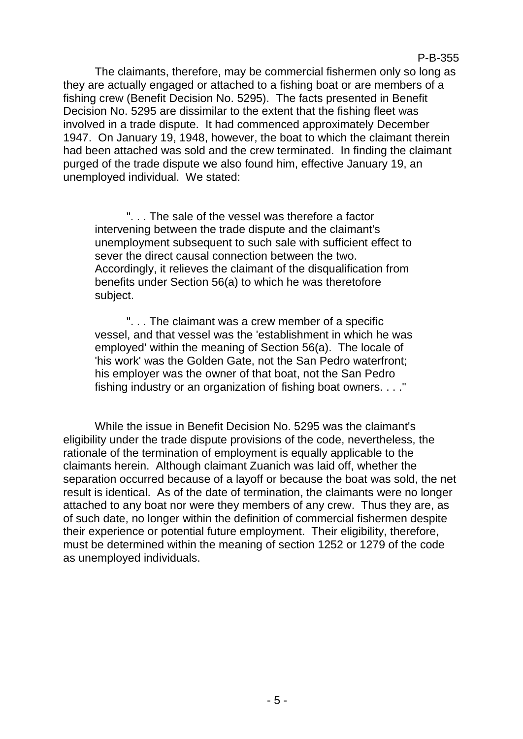The claimants, therefore, may be commercial fishermen only so long as they are actually engaged or attached to a fishing boat or are members of a fishing crew (Benefit Decision No. 5295). The facts presented in Benefit Decision No. 5295 are dissimilar to the extent that the fishing fleet was involved in a trade dispute. It had commenced approximately December 1947. On January 19, 1948, however, the boat to which the claimant therein had been attached was sold and the crew terminated. In finding the claimant purged of the trade dispute we also found him, effective January 19, an unemployed individual. We stated:

". . . The sale of the vessel was therefore a factor intervening between the trade dispute and the claimant's unemployment subsequent to such sale with sufficient effect to sever the direct causal connection between the two. Accordingly, it relieves the claimant of the disqualification from benefits under Section 56(a) to which he was theretofore subject.

". . . The claimant was a crew member of a specific vessel, and that vessel was the 'establishment in which he was employed' within the meaning of Section 56(a). The locale of 'his work' was the Golden Gate, not the San Pedro waterfront; his employer was the owner of that boat, not the San Pedro fishing industry or an organization of fishing boat owners. . . ."

While the issue in Benefit Decision No. 5295 was the claimant's eligibility under the trade dispute provisions of the code, nevertheless, the rationale of the termination of employment is equally applicable to the claimants herein. Although claimant Zuanich was laid off, whether the separation occurred because of a layoff or because the boat was sold, the net result is identical. As of the date of termination, the claimants were no longer attached to any boat nor were they members of any crew. Thus they are, as of such date, no longer within the definition of commercial fishermen despite their experience or potential future employment. Their eligibility, therefore, must be determined within the meaning of section 1252 or 1279 of the code as unemployed individuals.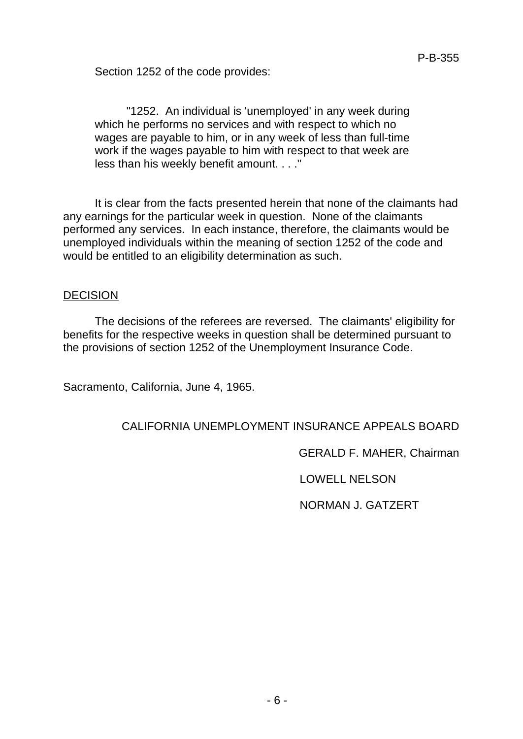Section 1252 of the code provides:

"1252. An individual is 'unemployed' in any week during which he performs no services and with respect to which no wages are payable to him, or in any week of less than full-time work if the wages payable to him with respect to that week are less than his weekly benefit amount. . . ."

It is clear from the facts presented herein that none of the claimants had any earnings for the particular week in question. None of the claimants performed any services. In each instance, therefore, the claimants would be unemployed individuals within the meaning of section 1252 of the code and would be entitled to an eligibility determination as such.

### **DECISION**

The decisions of the referees are reversed. The claimants' eligibility for benefits for the respective weeks in question shall be determined pursuant to the provisions of section 1252 of the Unemployment Insurance Code.

Sacramento, California, June 4, 1965.

# CALIFORNIA UNEMPLOYMENT INSURANCE APPEALS BOARD

GERALD F. MAHER, Chairman

LOWELL NELSON

NORMAN J. GATZERT